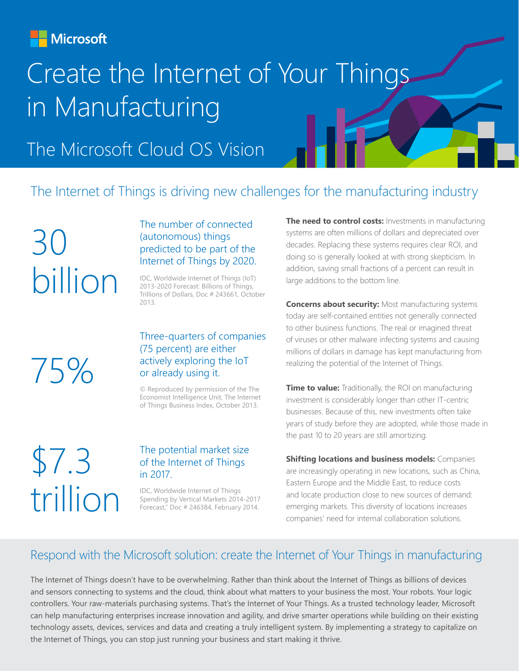**Microsoft** 

# Create the Internet of Your Things in Manufacturing

The Microsoft Cloud OS Vision

### The Internet of Things is driving new challenges for the manufacturing industry

 $\prec$ ( ) billion

#### The number of connected (autonomous) things predicted to be part of the Internet of Things by 2020.

IDC, Worldwide Internet of Things (IoT) 2013-2020 Forecast: Billions of Things, Trillions of Dollars, Doc # 243661, October 2013.

75%

#### Three-quarters of companies (75 percent) are either actively exploring the IoT or already using it.

© Reproduced by permission of the The Economist Intelligence Unit, The Internet of Things Business Index, October 2013.

# \$7.3 trillion

#### The potential market size of the Internet of Things in 2017.

IDC, Worldwide Internet of Things Spending by Vertical Markets 2014-2017 Forecast," Doc # 246384, February 2014.

**The need to control costs:** Investments in manufacturing systems are often millions of dollars and depreciated over decades. Replacing these systems requires clear ROI, and doing so is generally looked at with strong skepticism. In addition, saving small fractions of a percent can result in large additions to the bottom line.

**Concerns about security:** Most manufacturing systems today are self-contained entities not generally connected to other business functions. The real or imagined threat of viruses or other malware infecting systems and causing millions of dollars in damage has kept manufacturing from realizing the potential of the Internet of Things.

**Time to value:** Traditionally, the ROI on manufacturing investment is considerably longer than other IT-centric businesses. Because of this, new investments often take years of study before they are adopted, while those made in the past 10 to 20 years are still amortizing.

**Shifting locations and business models:** Companies are increasingly operating in new locations, such as China, Eastern Europe and the Middle East, to reduce costs and locate production close to new sources of demand: emerging markets. This diversity of locations increases companies' need for internal collaboration solutions.

### Respond with the Microsoft solution: create the Internet of Your Things in manufacturing

The Internet of Things doesn't have to be overwhelming. Rather than think about the Internet of Things as billions of devices and sensors connecting to systems and the cloud, think about what matters to your business the most. Your robots. Your logic controllers. Your raw-materials purchasing systems. That's the Internet of Your Things. As a trusted technology leader, Microsoft can help manufacturing enterprises increase innovation and agility, and drive smarter operations while building on their existing technology assets, devices, services and data and creating a truly intelligent system. By implementing a strategy to capitalize on the Internet of Things, you can stop just running your business and start making it thrive.